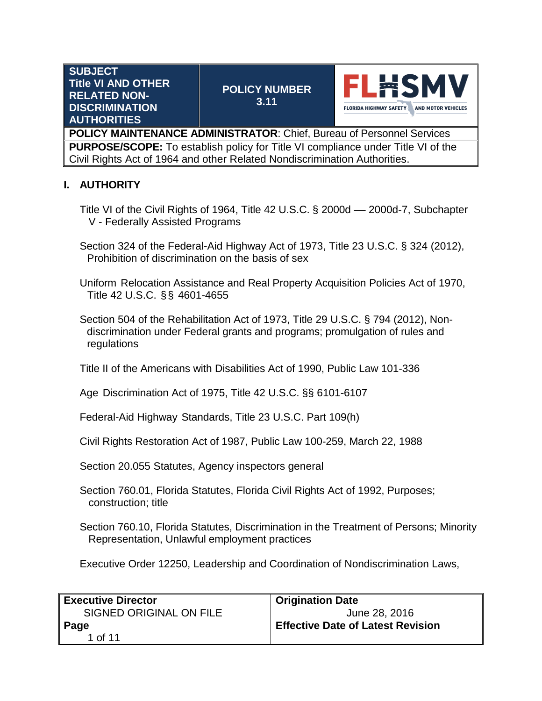| <b>SUBJECT</b><br><b>Title VI AND OTHER</b><br><b>RELATED NON-</b><br><b>DISCRIMINATION</b><br><b>AUTHORITIES</b> | <b>POLICY NUMBER</b><br>3.11                                                            | <b>FLHSMV</b><br><b>FLORIDA HIGHWAY SAFETY</b><br><b>AND MOTOR VEHICLES</b> |
|-------------------------------------------------------------------------------------------------------------------|-----------------------------------------------------------------------------------------|-----------------------------------------------------------------------------|
|                                                                                                                   | POLICY MAINTENANCE ADMINISTRATOR: Chief, Bureau of Personnel Services                   |                                                                             |
|                                                                                                                   | <b>PURPOSE/SCOPE:</b> To establish policy for Title VI compliance under Title VI of the |                                                                             |

Civil Rights Act of 1964 and other Related Nondiscrimination Authorities.

## **I. AUTHORITY**

- Title VI of the Civil Rights of 1964, Title 42 U.S.C. § 2000d –– 2000d-7, Subchapter V - Federally Assisted Programs
- Section 324 of the Federal-Aid Highway Act of 1973, Title 23 U.S.C. § 324 (2012), Prohibition of discrimination on the basis of sex
- Uniform Relocation Assistance and Real Property Acquisition Policies Act of 1970, Title 42 U.S.C. §§ 4601-4655
- Section 504 of the Rehabilitation Act of 1973, Title 29 U.S.C. § 794 (2012), Non discrimination under Federal grants and programs; promulgation of rules and regulations
- Title II of the Americans with Disabilities Act of 1990, Public Law 101-336
- Age Discrimination Act of 1975, Title 42 U.S.C. §§ 6101-6107
- Federal-Aid Highway Standards, Title 23 U.S.C. Part 109(h)
- Civil Rights Restoration Act of 1987, Public Law 100-259, March 22, 1988
- Section 20.055 Statutes, Agency inspectors general
- Section 760.01, Florida Statutes, Florida Civil Rights Act of 1992, Purposes; construction; title
- Section 760.10, Florida Statutes, Discrimination in the Treatment of Persons; Minority Representation, Unlawful employment practices
- Executive Order 12250, Leadership and Coordination of Nondiscrimination Laws,

| <b>Executive Director</b> | <b>Origination Date</b>                  |
|---------------------------|------------------------------------------|
| SIGNED ORIGINAL ON FILE   | June 28, 2016                            |
| Page                      | <b>Effective Date of Latest Revision</b> |
| 1 of 11                   |                                          |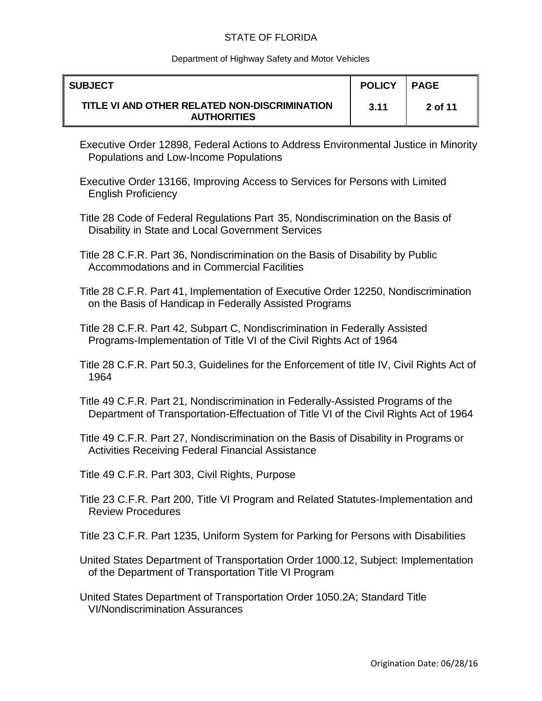#### Department of Highway Safety and Motor Vehicles

| <b>SUBJECT</b>                                                      | <b>POLICY</b> | <b>PAGE</b> |
|---------------------------------------------------------------------|---------------|-------------|
| TITLE VI AND OTHER RELATED NON-DISCRIMINATION<br><b>AUTHORITIES</b> | 3.11          | 2 of 11     |

- Executive Order 12898, Federal Actions to Address Environmental Justice in Minority Populations and Low-Income Populations
- Executive Order 13166, Improving Access to Services for Persons with Limited English Proficiency
- Title 28 Code of Federal Regulations Part 35, Nondiscrimination on the Basis of Disability in State and Local Government Services
- Title 28 C.F.R. Part 36, Nondiscrimination on the Basis of Disability by Public Accommodations and in Commercial Facilities
- Title 28 C.F.R. Part 41, Implementation of Executive Order 12250, Nondiscrimination on the Basis of Handicap in Federally Assisted Programs
- Title 28 C.F.R. Part 42, Subpart C, Nondiscrimination in Federally Assisted Programs-Implementation of Title VI of the Civil Rights Act of 1964
- Title 28 C.F.R. Part 50.3, Guidelines for the Enforcement of title IV, Civil Rights Act of 1964
- Title 49 C.F.R. Part 21, Nondiscrimination in Federally-Assisted Programs of the Department of Transportation-Effectuation of Title VI of the Civil Rights Act of 1964
- Title 49 C.F.R. Part 27, Nondiscrimination on the Basis of Disability in Programs or Activities Receiving Federal Financial Assistance
- Title 49 C.F.R. Part 303, Civil Rights, Purpose
- Title 23 C.F.R. Part 200, Title VI Program and Related Statutes-Implementation and Review Procedures
- Title 23 C.F.R. Part 1235, Uniform System for Parking for Persons with Disabilities
- United States Department of Transportation Order 1000.12, Subject: Implementation of the Department of Transportation Title VI Program
- United States Department of Transportation Order 1050.2A; Standard Title VI/Nondiscrimination Assurances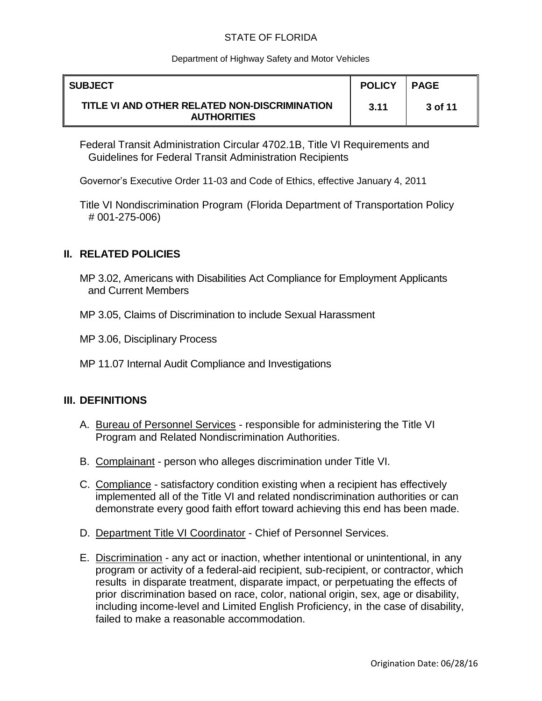### Department of Highway Safety and Motor Vehicles

| <b>SUBJECT</b>                                                      | <b>POLICY</b> | <b>PAGE</b> |
|---------------------------------------------------------------------|---------------|-------------|
| TITLE VI AND OTHER RELATED NON-DISCRIMINATION<br><b>AUTHORITIES</b> | 3.11          | 3 of 11     |

Federal Transit Administration Circular 4702.1B, Title VI Requirements and Guidelines for Federal Transit Administration Recipients

Governor's Executive Order 11-03 and Code of Ethics, effective January 4, 2011

Title VI Nondiscrimination Program (Florida Department of Transportation Policy # 001-275-006)

## **II. RELATED POLICIES**

- MP 3.02, Americans with Disabilities Act Compliance for Employment Applicants and Current Members
- MP 3.05, Claims of Discrimination to include Sexual Harassment
- MP 3.06, Disciplinary Process
- MP 11.07 Internal Audit Compliance and Investigations

## **III. DEFINITIONS**

- A. Bureau of Personnel Services responsible for administering the Title VI Program and Related Nondiscrimination Authorities.
- B. Complainant person who alleges discrimination under Title VI.
- C. Compliance satisfactory condition existing when a recipient has effectively implemented all of the Title VI and related nondiscrimination authorities or can demonstrate every good faith effort toward achieving this end has been made.
- D. Department Title VI Coordinator Chief of Personnel Services.
- E. Discrimination any act or inaction, whether intentional or unintentional, in any program or activity of a federal-aid recipient, sub-recipient, or contractor, which results in disparate treatment, disparate impact, or perpetuating the effects of prior discrimination based on race, color, national origin, sex, age or disability, including income-level and Limited English Proficiency, in the case of disability, failed to make a reasonable accommodation.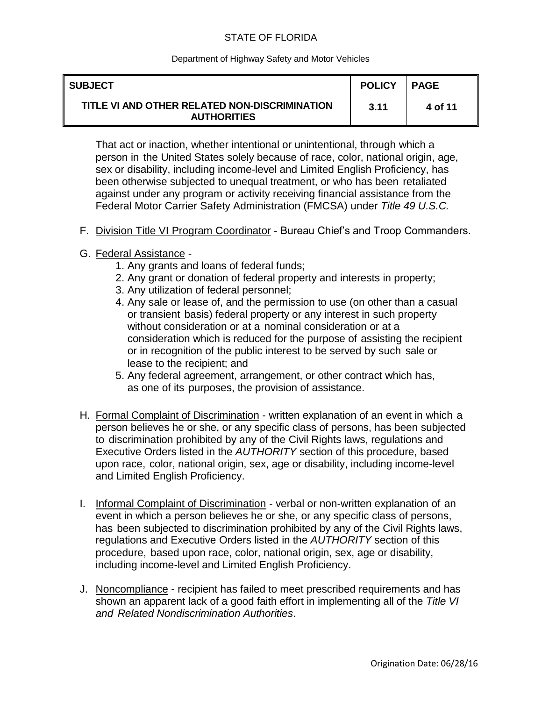### Department of Highway Safety and Motor Vehicles

| <b>SUBJECT</b>                                                      | <b>POLICY</b> | <b>PAGE</b> |
|---------------------------------------------------------------------|---------------|-------------|
| TITLE VI AND OTHER RELATED NON-DISCRIMINATION<br><b>AUTHORITIES</b> | 3.11          | 4 of 11     |

That act or inaction, whether intentional or unintentional, through which a person in the United States solely because of race, color, national origin, age, sex or disability, including income-level and Limited English Proficiency, has been otherwise subjected to unequal treatment, or who has been retaliated against under any program or activity receiving financial assistance from the Federal Motor Carrier Safety Administration (FMCSA) under *Title 49 U.S.C.*

- F. Division Title VI Program Coordinator Bureau Chief's and Troop Commanders.
- G. Federal Assistance
	- 1. Any grants and loans of federal funds;
	- 2. Any grant or donation of federal property and interests in property;
	- 3. Any utilization of federal personnel;
	- 4. Any sale or lease of, and the permission to use (on other than a casual or transient basis) federal property or any interest in such property without consideration or at a nominal consideration or at a consideration which is reduced for the purpose of assisting the recipient or in recognition of the public interest to be served by such sale or lease to the recipient; and
	- 5. Any federal agreement, arrangement, or other contract which has, as one of its purposes, the provision of assistance.
- H. Formal Complaint of Discrimination written explanation of an event in which a person believes he or she, or any specific class of persons, has been subjected to discrimination prohibited by any of the Civil Rights laws, regulations and Executive Orders listed in the *AUTHORITY* section of this procedure, based upon race, color, national origin, sex, age or disability, including income-level and Limited English Proficiency.
- I. Informal Complaint of Discrimination verbal or non-written explanation of an event in which a person believes he or she, or any specific class of persons, has been subjected to discrimination prohibited by any of the Civil Rights laws, regulations and Executive Orders listed in the *AUTHORITY* section of this procedure, based upon race, color, national origin, sex, age or disability, including income-level and Limited English Proficiency.
- J. Noncompliance recipient has failed to meet prescribed requirements and has shown an apparent lack of a good faith effort in implementing all of the *Title VI and Related Nondiscrimination Authorities*.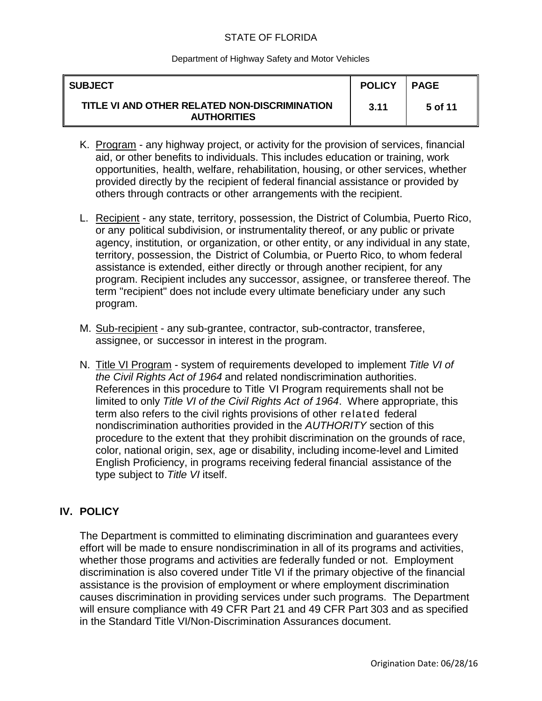#### Department of Highway Safety and Motor Vehicles

| <b>SUBJECT</b>                                                      | <b>POLICY</b> | <b>PAGE</b> |
|---------------------------------------------------------------------|---------------|-------------|
| TITLE VI AND OTHER RELATED NON-DISCRIMINATION<br><b>AUTHORITIES</b> | 3.11          | 5 of 11     |

- K. Program any highway project, or activity for the provision of services, financial aid, or other benefits to individuals. This includes education or training, work opportunities, health, welfare, rehabilitation, housing, or other services, whether provided directly by the recipient of federal financial assistance or provided by others through contracts or other arrangements with the recipient.
- L. Recipient any state, territory, possession, the District of Columbia, Puerto Rico, or any political subdivision, or instrumentality thereof, or any public or private agency, institution, or organization, or other entity, or any individual in any state, territory, possession, the District of Columbia, or Puerto Rico, to whom federal assistance is extended, either directly or through another recipient, for any program. Recipient includes any successor, assignee, or transferee thereof. The term "recipient" does not include every ultimate beneficiary under any such program.
- M. Sub-recipient any sub-grantee, contractor, sub-contractor, transferee, assignee, or successor in interest in the program.
- N. Title VI Program system of requirements developed to implement *Title VI of the Civil Rights Act of 1964* and related nondiscrimination authorities. References in this procedure to Title VI Program requirements shall not be limited to only *Title VI of the Civil Rights Act of 1964*. Where appropriate, this term also refers to the civil rights provisions of other related federal nondiscrimination authorities provided in the *AUTHORITY* section of this procedure to the extent that they prohibit discrimination on the grounds of race, color, national origin, sex, age or disability, including income-level and Limited English Proficiency, in programs receiving federal financial assistance of the type subject to *Title VI* itself.

## **IV. POLICY**

The Department is committed to eliminating discrimination and guarantees every effort will be made to ensure nondiscrimination in all of its programs and activities, whether those programs and activities are federally funded or not. Employment discrimination is also covered under Title VI if the primary objective of the financial assistance is the provision of employment or where employment discrimination causes discrimination in providing services under such programs. The Department will ensure compliance with 49 CFR Part 21 and 49 CFR Part 303 and as specified in the Standard Title VI/Non-Discrimination Assurances document.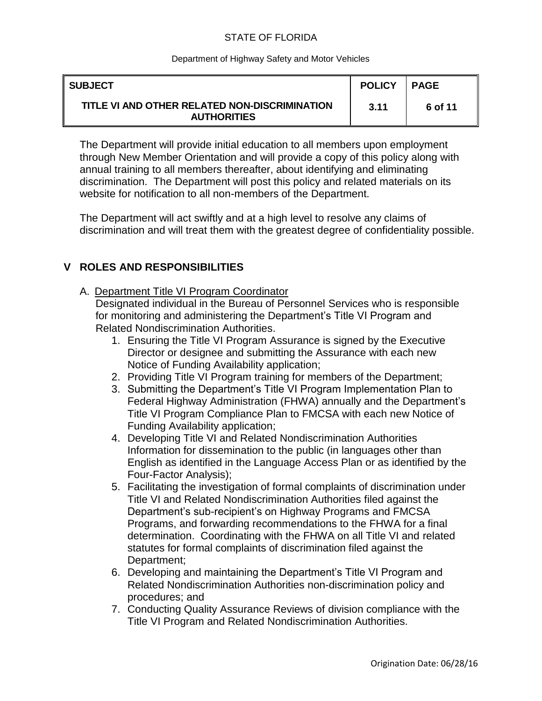### Department of Highway Safety and Motor Vehicles

| <b>SUBJECT</b>                                                      | <b>POLICY</b> | <b>PAGE</b> |
|---------------------------------------------------------------------|---------------|-------------|
| TITLE VI AND OTHER RELATED NON-DISCRIMINATION<br><b>AUTHORITIES</b> | 3.11          | 6 of 11     |

The Department will provide initial education to all members upon employment through New Member Orientation and will provide a copy of this policy along with annual training to all members thereafter, about identifying and eliminating discrimination. The Department will post this policy and related materials on its website for notification to all non-members of the Department.

The Department will act swiftly and at a high level to resolve any claims of discrimination and will treat them with the greatest degree of confidentiality possible.

## **V ROLES AND RESPONSIBILITIES**

A. Department Title VI Program Coordinator

Designated individual in the Bureau of Personnel Services who is responsible for monitoring and administering the Department's Title VI Program and Related Nondiscrimination Authorities.

- 1. Ensuring the Title VI Program Assurance is signed by the Executive Director or designee and submitting the Assurance with each new Notice of Funding Availability application;
- 2. Providing Title VI Program training for members of the Department;
- 3. Submitting the Department's Title VI Program Implementation Plan to Federal Highway Administration (FHWA) annually and the Department's Title VI Program Compliance Plan to FMCSA with each new Notice of Funding Availability application;
- 4. Developing Title VI and Related Nondiscrimination Authorities Information for dissemination to the public (in languages other than English as identified in the Language Access Plan or as identified by the Four-Factor Analysis);
- 5. Facilitating the investigation of formal complaints of discrimination under Title VI and Related Nondiscrimination Authorities filed against the Department's sub-recipient's on Highway Programs and FMCSA Programs, and forwarding recommendations to the FHWA for a final determination. Coordinating with the FHWA on all Title VI and related statutes for formal complaints of discrimination filed against the Department;
- 6. Developing and maintaining the Department's Title VI Program and Related Nondiscrimination Authorities non-discrimination policy and procedures; and
- 7. Conducting Quality Assurance Reviews of division compliance with the Title VI Program and Related Nondiscrimination Authorities.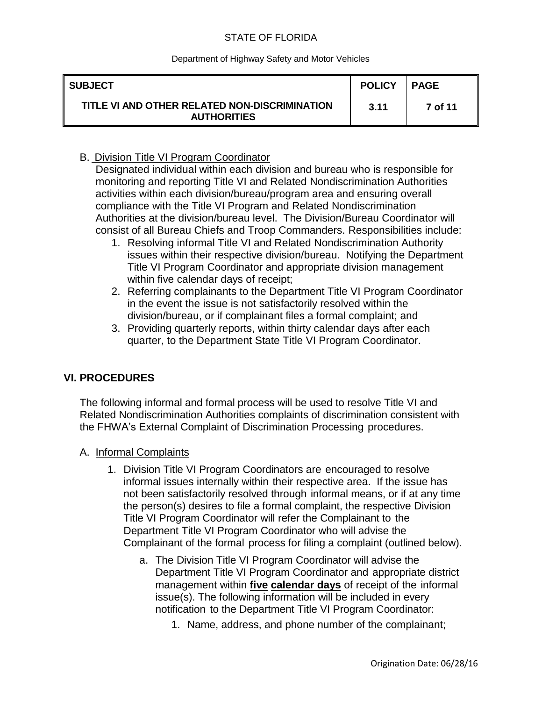#### Department of Highway Safety and Motor Vehicles

| <b>SUBJECT</b>                                                      | <b>POLICY</b> | <b>PAGE</b> |
|---------------------------------------------------------------------|---------------|-------------|
| TITLE VI AND OTHER RELATED NON-DISCRIMINATION<br><b>AUTHORITIES</b> | 3.11          | 7 of 11     |

## B. Division Title VI Program Coordinator

Designated individual within each division and bureau who is responsible for monitoring and reporting Title VI and Related Nondiscrimination Authorities activities within each division/bureau/program area and ensuring overall compliance with the Title VI Program and Related Nondiscrimination Authorities at the division/bureau level. The Division/Bureau Coordinator will consist of all Bureau Chiefs and Troop Commanders. Responsibilities include:

- 1. Resolving informal Title VI and Related Nondiscrimination Authority issues within their respective division/bureau. Notifying the Department Title VI Program Coordinator and appropriate division management within five calendar days of receipt;
- 2. Referring complainants to the Department Title VI Program Coordinator in the event the issue is not satisfactorily resolved within the division/bureau, or if complainant files a formal complaint; and
- 3. Providing quarterly reports, within thirty calendar days after each quarter, to the Department State Title VI Program Coordinator.

## **VI. PROCEDURES**

The following informal and formal process will be used to resolve Title VI and Related Nondiscrimination Authorities complaints of discrimination consistent with the FHWA's External Complaint of Discrimination Processing procedures.

- A. Informal Complaints
	- 1. Division Title VI Program Coordinators are encouraged to resolve informal issues internally within their respective area. If the issue has not been satisfactorily resolved through informal means, or if at any time the person(s) desires to file a formal complaint, the respective Division Title VI Program Coordinator will refer the Complainant to the Department Title VI Program Coordinator who will advise the Complainant of the formal process for filing a complaint (outlined below).
		- a. The Division Title VI Program Coordinator will advise the Department Title VI Program Coordinator and appropriate district management within **five calendar days** of receipt of the informal issue(s). The following information will be included in every notification to the Department Title VI Program Coordinator:
			- 1. Name, address, and phone number of the complainant;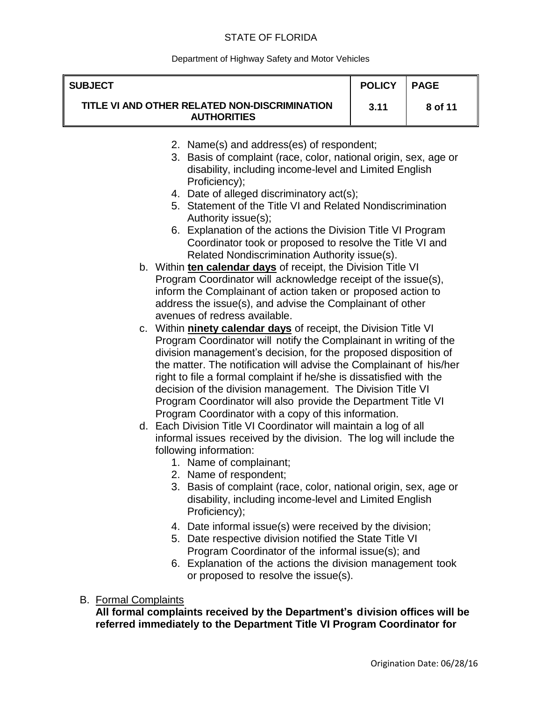### Department of Highway Safety and Motor Vehicles

| <b>SUBJECT</b> |                                                                                                                                                                                                                                                                                                                                                                                                                                                                                                                                               | <b>POLICY</b> | <b>PAGE</b> |
|----------------|-----------------------------------------------------------------------------------------------------------------------------------------------------------------------------------------------------------------------------------------------------------------------------------------------------------------------------------------------------------------------------------------------------------------------------------------------------------------------------------------------------------------------------------------------|---------------|-------------|
|                | TITLE VI AND OTHER RELATED NON-DISCRIMINATION<br><b>AUTHORITIES</b>                                                                                                                                                                                                                                                                                                                                                                                                                                                                           | 3.11          | 8 of 11     |
|                | 2. Name(s) and address(es) of respondent;<br>3. Basis of complaint (race, color, national origin, sex, age or<br>disability, including income-level and Limited English<br>Proficiency);<br>4. Date of alleged discriminatory act(s);<br>5. Statement of the Title VI and Related Nondiscrimination<br>Authority issue(s);<br>6. Explanation of the actions the Division Title VI Program                                                                                                                                                     |               |             |
|                | Coordinator took or proposed to resolve the Title VI and<br>Related Nondiscrimination Authority issue(s).<br>b. Within ten calendar days of receipt, the Division Title VI<br>Program Coordinator will acknowledge receipt of the issue(s),<br>inform the Complainant of action taken or proposed action to<br>address the issue(s), and advise the Complainant of other<br>avenues of redress available.                                                                                                                                     |               |             |
|                | c. Within ninety calendar days of receipt, the Division Title VI<br>Program Coordinator will notify the Complainant in writing of the<br>division management's decision, for the proposed disposition of<br>the matter. The notification will advise the Complainant of his/her<br>right to file a formal complaint if he/she is dissatisfied with the<br>decision of the division management. The Division Title VI<br>Program Coordinator will also provide the Department Title VI<br>Program Coordinator with a copy of this information. |               |             |
|                | d. Each Division Title VI Coordinator will maintain a log of all<br>informal issues received by the division. The log will include the<br>following information:<br>1. Name of complainant;<br>2. Name of respondent;<br>3. Basis of complaint (race, color, national origin, sex, age or<br>disability, including income-level and Limited English<br>Proficiency);                                                                                                                                                                          |               |             |

- 4. Date informal issue(s) were received by the division;
- 5. Date respective division notified the State Title VI Program Coordinator of the informal issue(s); and
- 6. Explanation of the actions the division management took or proposed to resolve the issue(s).

# B. Formal Complaints

**All formal complaints received by the Department's division offices will be referred immediately to the Department Title VI Program Coordinator for**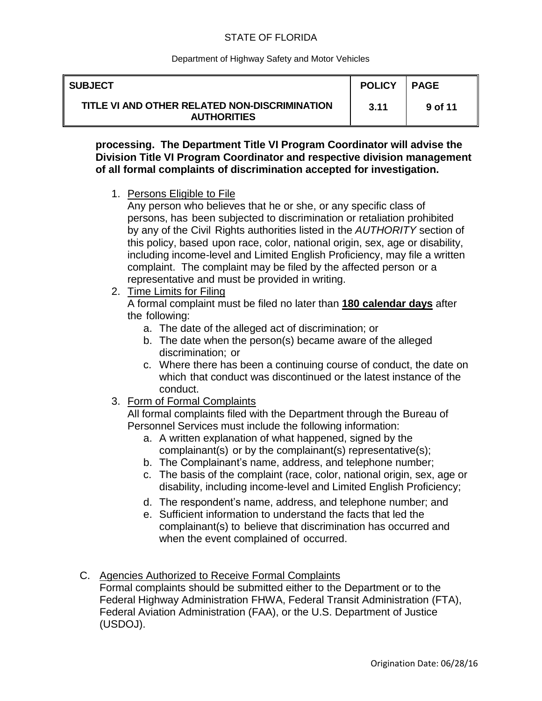### Department of Highway Safety and Motor Vehicles

| ∥ SUBJECT                                                           | <b>POLICY</b> | I PAGE  |
|---------------------------------------------------------------------|---------------|---------|
| TITLE VI AND OTHER RELATED NON-DISCRIMINATION<br><b>AUTHORITIES</b> | 3.11          | 9 of 11 |

**processing. The Department Title VI Program Coordinator will advise the Division Title VI Program Coordinator and respective division management of all formal complaints of discrimination accepted for investigation.**

1. Persons Eligible to File

Any person who believes that he or she, or any specific class of persons, has been subjected to discrimination or retaliation prohibited by any of the Civil Rights authorities listed in the *AUTHORITY* section of this policy, based upon race, color, national origin, sex, age or disability, including income-level and Limited English Proficiency, may file a written complaint. The complaint may be filed by the affected person or a representative and must be provided in writing.

2. Time Limits for Filing

A formal complaint must be filed no later than **180 calendar days** after the following:

- a. The date of the alleged act of discrimination; or
- b. The date when the person(s) became aware of the alleged discrimination; or
- c. Where there has been a continuing course of conduct, the date on which that conduct was discontinued or the latest instance of the conduct.
- 3. Form of Formal Complaints

All formal complaints filed with the Department through the Bureau of Personnel Services must include the following information:

- a. A written explanation of what happened, signed by the complainant(s) or by the complainant(s) representative(s);
- b. The Complainant's name, address, and telephone number;
- c. The basis of the complaint (race, color, national origin, sex, age or disability, including income-level and Limited English Proficiency;
- d. The respondent's name, address, and telephone number; and
- e. Sufficient information to understand the facts that led the complainant(s) to believe that discrimination has occurred and when the event complained of occurred.
- C. Agencies Authorized to Receive Formal Complaints

Formal complaints should be submitted either to the Department or to the Federal Highway Administration FHWA, Federal Transit Administration (FTA), Federal Aviation Administration (FAA), or the U.S. Department of Justice (USDOJ).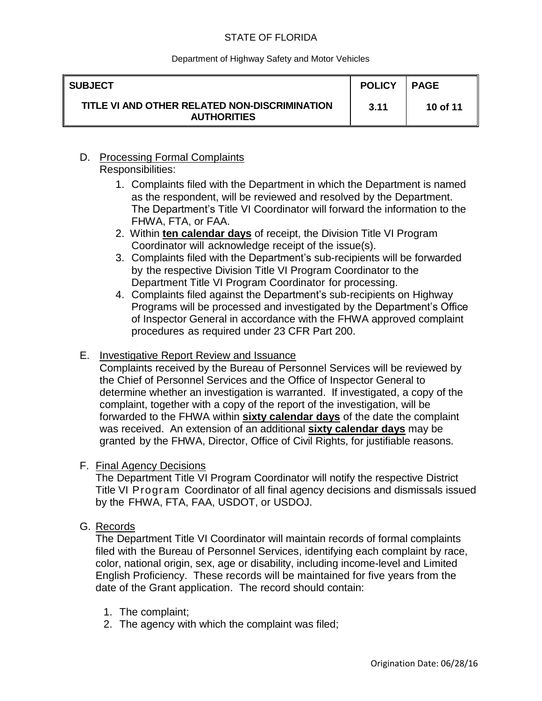#### Department of Highway Safety and Motor Vehicles

| ∥ SUBJECT                                                           | <b>POLICY</b> | I PAGE   |
|---------------------------------------------------------------------|---------------|----------|
| TITLE VI AND OTHER RELATED NON-DISCRIMINATION<br><b>AUTHORITIES</b> | 3.11          | 10 of 11 |

## D. Processing Formal Complaints Responsibilities:

- 1. Complaints filed with the Department in which the Department is named as the respondent, will be reviewed and resolved by the Department. The Department's Title VI Coordinator will forward the information to the FHWA, FTA, or FAA.
- 2. Within **ten calendar days** of receipt, the Division Title VI Program Coordinator will acknowledge receipt of the issue(s).
- 3. Complaints filed with the Department's sub-recipients will be forwarded by the respective Division Title VI Program Coordinator to the Department Title VI Program Coordinator for processing.
- 4. Complaints filed against the Department's sub-recipients on Highway Programs will be processed and investigated by the Department's Office of Inspector General in accordance with the FHWA approved complaint procedures as required under 23 CFR Part 200.

## E. Investigative Report Review and Issuance

Complaints received by the Bureau of Personnel Services will be reviewed by the Chief of Personnel Services and the Office of Inspector General to determine whether an investigation is warranted. If investigated, a copy of the complaint, together with a copy of the report of the investigation, will be forwarded to the FHWA within **sixty calendar days** of the date the complaint was received. An extension of an additional **sixty calendar days** may be granted by the FHWA, Director, Office of Civil Rights, for justifiable reasons.

## F. Final Agency Decisions

The Department Title VI Program Coordinator will notify the respective District Title VI Program Coordinator of all final agency decisions and dismissals issued by the FHWA, FTA, FAA, USDOT, or USDOJ.

G. Records

The Department Title VI Coordinator will maintain records of formal complaints filed with the Bureau of Personnel Services, identifying each complaint by race, color, national origin, sex, age or disability, including income-level and Limited English Proficiency. These records will be maintained for five years from the date of the Grant application. The record should contain:

- 1. The complaint;
- 2. The agency with which the complaint was filed;